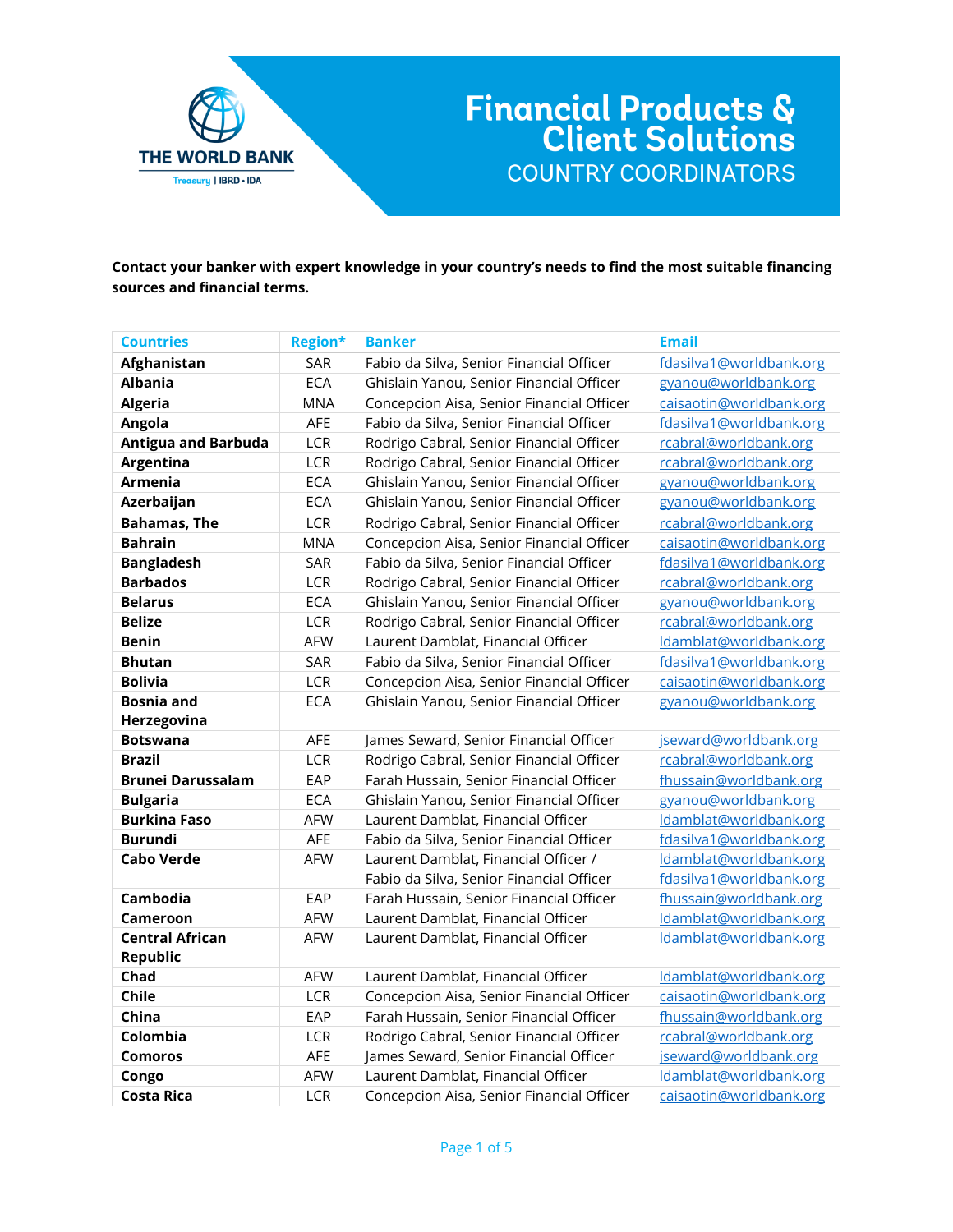

**Contact your banker with expert knowledge in your country's needs to find the most suitable financing sources and financial terms.**

| <b>Countries</b>           | <b>Region*</b> | <b>Banker</b>                             | <b>Email</b>            |
|----------------------------|----------------|-------------------------------------------|-------------------------|
| Afghanistan                | SAR            | Fabio da Silva, Senior Financial Officer  | fdasilva1@worldbank.org |
| <b>Albania</b>             | <b>ECA</b>     | Ghislain Yanou, Senior Financial Officer  | gyanou@worldbank.org    |
| <b>Algeria</b>             | <b>MNA</b>     | Concepcion Aisa, Senior Financial Officer | caisaotin@worldbank.org |
| Angola                     | AFE            | Fabio da Silva, Senior Financial Officer  | fdasilva1@worldbank.org |
| <b>Antigua and Barbuda</b> | LCR            | Rodrigo Cabral, Senior Financial Officer  | rcabral@worldbank.org   |
| Argentina                  | <b>LCR</b>     | Rodrigo Cabral, Senior Financial Officer  | rcabral@worldbank.org   |
| Armenia                    | <b>ECA</b>     | Ghislain Yanou, Senior Financial Officer  | gyanou@worldbank.org    |
| Azerbaijan                 | <b>ECA</b>     | Ghislain Yanou, Senior Financial Officer  | gyanou@worldbank.org    |
| <b>Bahamas, The</b>        | <b>LCR</b>     | Rodrigo Cabral, Senior Financial Officer  | rcabral@worldbank.org   |
| <b>Bahrain</b>             | <b>MNA</b>     | Concepcion Aisa, Senior Financial Officer | caisaotin@worldbank.org |
| <b>Bangladesh</b>          | SAR            | Fabio da Silva, Senior Financial Officer  | fdasilva1@worldbank.org |
| <b>Barbados</b>            | <b>LCR</b>     | Rodrigo Cabral, Senior Financial Officer  | rcabral@worldbank.org   |
| <b>Belarus</b>             | <b>ECA</b>     | Ghislain Yanou, Senior Financial Officer  | gyanou@worldbank.org    |
| <b>Belize</b>              | <b>LCR</b>     | Rodrigo Cabral, Senior Financial Officer  | rcabral@worldbank.org   |
| <b>Benin</b>               | <b>AFW</b>     | Laurent Damblat, Financial Officer        | Idamblat@worldbank.org  |
| <b>Bhutan</b>              | SAR            | Fabio da Silva, Senior Financial Officer  | fdasilva1@worldbank.org |
| <b>Bolivia</b>             | LCR            | Concepcion Aisa, Senior Financial Officer | caisaotin@worldbank.org |
| <b>Bosnia and</b>          | <b>ECA</b>     | Ghislain Yanou, Senior Financial Officer  | gyanou@worldbank.org    |
| Herzegovina                |                |                                           |                         |
| <b>Botswana</b>            | AFE            | James Seward, Senior Financial Officer    | jseward@worldbank.org   |
| <b>Brazil</b>              | <b>LCR</b>     | Rodrigo Cabral, Senior Financial Officer  | rcabral@worldbank.org   |
| <b>Brunei Darussalam</b>   | EAP            | Farah Hussain, Senior Financial Officer   | fhussain@worldbank.org  |
| <b>Bulgaria</b>            | <b>ECA</b>     | Ghislain Yanou, Senior Financial Officer  | gyanou@worldbank.org    |
| <b>Burkina Faso</b>        | <b>AFW</b>     | Laurent Damblat, Financial Officer        | Idamblat@worldbank.org  |
| <b>Burundi</b>             | AFE            | Fabio da Silva, Senior Financial Officer  | fdasilva1@worldbank.org |
| <b>Cabo Verde</b>          | AFW            | Laurent Damblat, Financial Officer /      | Idamblat@worldbank.org  |
|                            |                | Fabio da Silva, Senior Financial Officer  | fdasilva1@worldbank.org |
| Cambodia                   | EAP            | Farah Hussain, Senior Financial Officer   | fhussain@worldbank.org  |
| Cameroon                   | <b>AFW</b>     | Laurent Damblat, Financial Officer        | Idamblat@worldbank.org  |
| <b>Central African</b>     | <b>AFW</b>     | Laurent Damblat, Financial Officer        | Idamblat@worldbank.org  |
| <b>Republic</b>            |                |                                           |                         |
| Chad                       | AFW            | Laurent Damblat, Financial Officer        | Idamblat@worldbank.org  |
| Chile                      | LCR            | Concepcion Aisa, Senior Financial Officer | caisaotin@worldbank.org |
| China                      | EAP            | Farah Hussain, Senior Financial Officer   | fhussain@worldbank.org  |
| Colombia                   | <b>LCR</b>     | Rodrigo Cabral, Senior Financial Officer  | rcabral@worldbank.org   |
| <b>Comoros</b>             | AFE            | James Seward, Senior Financial Officer    | jseward@worldbank.org   |
| Congo                      | AFW            | Laurent Damblat, Financial Officer        | Idamblat@worldbank.org  |
| <b>Costa Rica</b>          | <b>LCR</b>     | Concepcion Aisa, Senior Financial Officer | caisaotin@worldbank.org |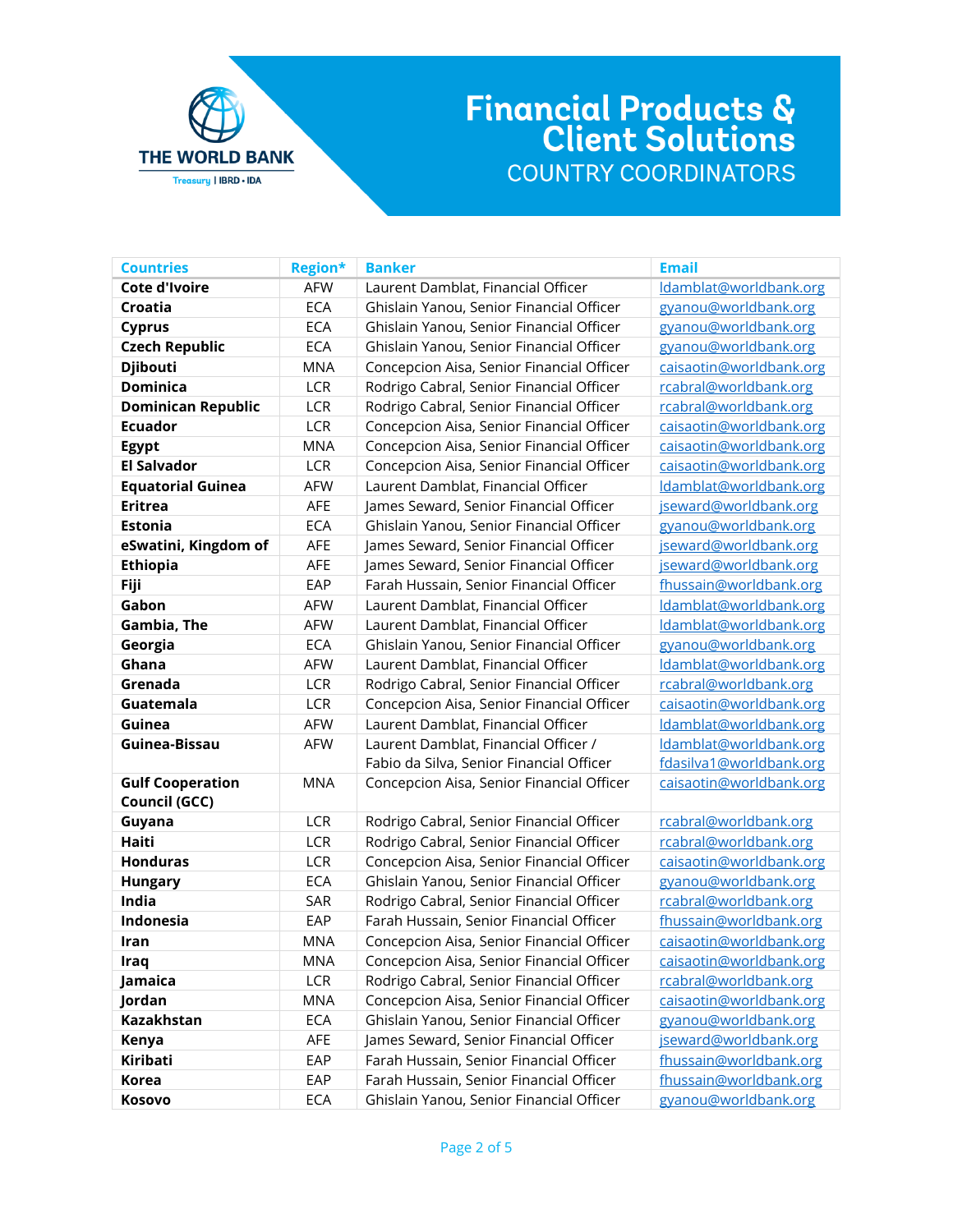

| <b>Countries</b>          | <b>Region*</b> | <b>Banker</b>                             | <b>Email</b>            |
|---------------------------|----------------|-------------------------------------------|-------------------------|
| <b>Cote d'Ivoire</b>      | <b>AFW</b>     | Laurent Damblat, Financial Officer        | Idamblat@worldbank.org  |
| Croatia                   | <b>ECA</b>     | Ghislain Yanou, Senior Financial Officer  | gyanou@worldbank.org    |
| <b>Cyprus</b>             | <b>ECA</b>     | Ghislain Yanou, Senior Financial Officer  | gyanou@worldbank.org    |
| <b>Czech Republic</b>     | <b>ECA</b>     | Ghislain Yanou, Senior Financial Officer  | gyanou@worldbank.org    |
| <b>Djibouti</b>           | <b>MNA</b>     | Concepcion Aisa, Senior Financial Officer | caisaotin@worldbank.org |
| <b>Dominica</b>           | LCR            | Rodrigo Cabral, Senior Financial Officer  | rcabral@worldbank.org   |
| <b>Dominican Republic</b> | LCR            | Rodrigo Cabral, Senior Financial Officer  | rcabral@worldbank.org   |
| <b>Ecuador</b>            | LCR            | Concepcion Aisa, Senior Financial Officer | caisaotin@worldbank.org |
| <b>Egypt</b>              | <b>MNA</b>     | Concepcion Aisa, Senior Financial Officer | caisaotin@worldbank.org |
| <b>El Salvador</b>        | LCR            | Concepcion Aisa, Senior Financial Officer | caisaotin@worldbank.org |
| <b>Equatorial Guinea</b>  | AFW            | Laurent Damblat, Financial Officer        | Idamblat@worldbank.org  |
| <b>Eritrea</b>            | AFE            | James Seward, Senior Financial Officer    | jseward@worldbank.org   |
| <b>Estonia</b>            | <b>ECA</b>     | Ghislain Yanou, Senior Financial Officer  | gyanou@worldbank.org    |
| eSwatini, Kingdom of      | AFE            | James Seward, Senior Financial Officer    | jseward@worldbank.org   |
| <b>Ethiopia</b>           | AFE            | James Seward, Senior Financial Officer    | jseward@worldbank.org   |
| Fiji                      | EAP            | Farah Hussain, Senior Financial Officer   | fhussain@worldbank.org  |
| Gabon                     | AFW            | Laurent Damblat, Financial Officer        | Idamblat@worldbank.org  |
| Gambia, The               | <b>AFW</b>     | Laurent Damblat, Financial Officer        | Idamblat@worldbank.org  |
| Georgia                   | <b>ECA</b>     | Ghislain Yanou, Senior Financial Officer  | gyanou@worldbank.org    |
| Ghana                     | <b>AFW</b>     | Laurent Damblat, Financial Officer        | Idamblat@worldbank.org  |
| Grenada                   | LCR            | Rodrigo Cabral, Senior Financial Officer  | rcabral@worldbank.org   |
| Guatemala                 | LCR            | Concepcion Aisa, Senior Financial Officer | caisaotin@worldbank.org |
| Guinea                    | <b>AFW</b>     | Laurent Damblat, Financial Officer        | Idamblat@worldbank.org  |
| Guinea-Bissau             | <b>AFW</b>     | Laurent Damblat, Financial Officer /      | Idamblat@worldbank.org  |
|                           |                | Fabio da Silva, Senior Financial Officer  | fdasilva1@worldbank.org |
| <b>Gulf Cooperation</b>   | <b>MNA</b>     | Concepcion Aisa, Senior Financial Officer | caisaotin@worldbank.org |
| Council (GCC)             |                |                                           |                         |
| Guyana                    | <b>LCR</b>     | Rodrigo Cabral, Senior Financial Officer  | rcabral@worldbank.org   |
| <b>Haiti</b>              | LCR            | Rodrigo Cabral, Senior Financial Officer  | rcabral@worldbank.org   |
| <b>Honduras</b>           | LCR            | Concepcion Aisa, Senior Financial Officer | caisaotin@worldbank.org |
| <b>Hungary</b>            | <b>ECA</b>     | Ghislain Yanou, Senior Financial Officer  | gyanou@worldbank.org    |
| India                     | SAR            | Rodrigo Cabral, Senior Financial Officer  | rcabral@worldbank.org   |
| Indonesia                 | EAP            | Farah Hussain, Senior Financial Officer   | fhussain@worldbank.org  |
| Iran                      | <b>MNA</b>     | Concepcion Aisa, Senior Financial Officer | caisaotin@worldbank.org |
| ıraq                      | <b>MNA</b>     | Concepcion Aisa, Senior Financial Officer | caisaotin@worldbank.org |
| Jamaica                   | LCR            | Rodrigo Cabral, Senior Financial Officer  | rcabral@worldbank.org   |
| Jordan                    | <b>MNA</b>     | Concepcion Aisa, Senior Financial Officer | caisaotin@worldbank.org |
| Kazakhstan                | <b>ECA</b>     | Ghislain Yanou, Senior Financial Officer  | gyanou@worldbank.org    |
| Kenya                     | AFE            | James Seward, Senior Financial Officer    | jseward@worldbank.org   |
| Kiribati                  | EAP            | Farah Hussain, Senior Financial Officer   | fhussain@worldbank.org  |
| <b>Korea</b>              | EAP            | Farah Hussain, Senior Financial Officer   | fhussain@worldbank.org  |
| Kosovo                    | ECA            | Ghislain Yanou, Senior Financial Officer  | gyanou@worldbank.org    |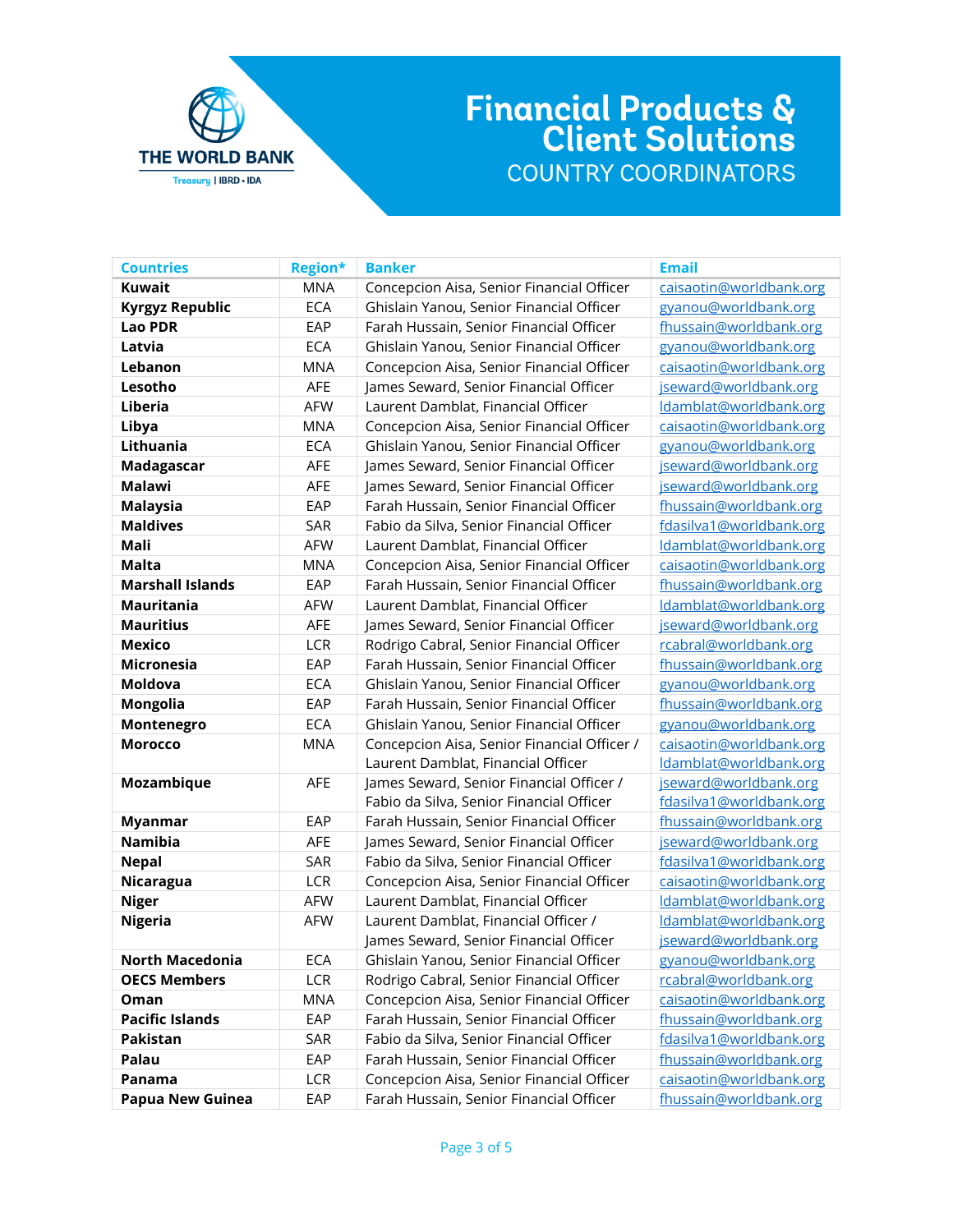

| <b>Countries</b>        | <b>Region*</b> | <b>Banker</b>                               | <b>Email</b>            |
|-------------------------|----------------|---------------------------------------------|-------------------------|
| <b>Kuwait</b>           | <b>MNA</b>     | Concepcion Aisa, Senior Financial Officer   | caisaotin@worldbank.org |
| <b>Kyrgyz Republic</b>  | <b>ECA</b>     | Ghislain Yanou, Senior Financial Officer    | gyanou@worldbank.org    |
| <b>Lao PDR</b>          | EAP            | Farah Hussain, Senior Financial Officer     | fhussain@worldbank.org  |
| Latvia                  | <b>ECA</b>     | Ghislain Yanou, Senior Financial Officer    | gyanou@worldbank.org    |
| Lebanon                 | <b>MNA</b>     | Concepcion Aisa, Senior Financial Officer   | caisaotin@worldbank.org |
| Lesotho                 | AFE            | James Seward, Senior Financial Officer      | jseward@worldbank.org   |
| Liberia                 | <b>AFW</b>     | Laurent Damblat, Financial Officer          | Idamblat@worldbank.org  |
| Libya                   | <b>MNA</b>     | Concepcion Aisa, Senior Financial Officer   | caisaotin@worldbank.org |
| Lithuania               | <b>ECA</b>     | Ghislain Yanou, Senior Financial Officer    | gyanou@worldbank.org    |
| Madagascar              | AFE            | James Seward, Senior Financial Officer      | jseward@worldbank.org   |
| <b>Malawi</b>           | AFE            | James Seward, Senior Financial Officer      | jseward@worldbank.org   |
| <b>Malaysia</b>         | EAP            | Farah Hussain, Senior Financial Officer     | fhussain@worldbank.org  |
| <b>Maldives</b>         | SAR            | Fabio da Silva, Senior Financial Officer    | fdasilva1@worldbank.org |
| Mali                    | <b>AFW</b>     | Laurent Damblat, Financial Officer          | Idamblat@worldbank.org  |
| <b>Malta</b>            | <b>MNA</b>     | Concepcion Aisa, Senior Financial Officer   | caisaotin@worldbank.org |
| <b>Marshall Islands</b> | EAP            | Farah Hussain, Senior Financial Officer     | fhussain@worldbank.org  |
| <b>Mauritania</b>       | <b>AFW</b>     | Laurent Damblat, Financial Officer          | Idamblat@worldbank.org  |
| <b>Mauritius</b>        | AFE            | James Seward, Senior Financial Officer      | jseward@worldbank.org   |
| <b>Mexico</b>           | LCR            | Rodrigo Cabral, Senior Financial Officer    | rcabral@worldbank.org   |
| <b>Micronesia</b>       | EAP            | Farah Hussain, Senior Financial Officer     | fhussain@worldbank.org  |
| Moldova                 | <b>ECA</b>     | Ghislain Yanou, Senior Financial Officer    | gyanou@worldbank.org    |
| Mongolia                | EAP            | Farah Hussain, Senior Financial Officer     | fhussain@worldbank.org  |
| Montenegro              | <b>ECA</b>     | Ghislain Yanou, Senior Financial Officer    | gyanou@worldbank.org    |
| <b>Morocco</b>          | <b>MNA</b>     | Concepcion Aisa, Senior Financial Officer / | caisaotin@worldbank.org |
|                         |                | Laurent Damblat, Financial Officer          | Idamblat@worldbank.org  |
| Mozambique              | AFE            | James Seward, Senior Financial Officer /    | jseward@worldbank.org   |
|                         |                | Fabio da Silva, Senior Financial Officer    | fdasilva1@worldbank.org |
| <b>Myanmar</b>          | EAP            | Farah Hussain, Senior Financial Officer     | fhussain@worldbank.org  |
| <b>Namibia</b>          | AFE            | James Seward, Senior Financial Officer      | jseward@worldbank.org   |
| <b>Nepal</b>            | SAR            | Fabio da Silva, Senior Financial Officer    | fdasilva1@worldbank.org |
| Nicaragua               | LCR            | Concepcion Aisa, Senior Financial Officer   | caisaotin@worldbank.org |
| <b>Niger</b>            | <b>AFW</b>     | Laurent Damblat, Financial Officer          | Idamblat@worldbank.org  |
| <b>Nigeria</b>          | <b>AFW</b>     | Laurent Damblat, Financial Officer /        | Idamblat@worldbank.org  |
|                         |                | James Seward, Senior Financial Officer      | jseward@worldbank.org   |
| North Macedonia         | ECA            | Ghislain Yanou, Senior Financial Officer    | gyanou@worldbank.org    |
| <b>OECS Members</b>     | LCR            | Rodrigo Cabral, Senior Financial Officer    | rcabral@worldbank.org   |
| Oman                    | <b>MNA</b>     | Concepcion Aisa, Senior Financial Officer   | caisaotin@worldbank.org |
| <b>Pacific Islands</b>  | EAP            | Farah Hussain, Senior Financial Officer     | fhussain@worldbank.org  |
| Pakistan                | SAR            | Fabio da Silva, Senior Financial Officer    | fdasilva1@worldbank.org |
| Palau                   | EAP            | Farah Hussain, Senior Financial Officer     | fhussain@worldbank.org  |
| Panama                  | LCR            | Concepcion Aisa, Senior Financial Officer   | caisaotin@worldbank.org |
| <b>Papua New Guinea</b> | EAP            | Farah Hussain, Senior Financial Officer     | fhussain@worldbank.org  |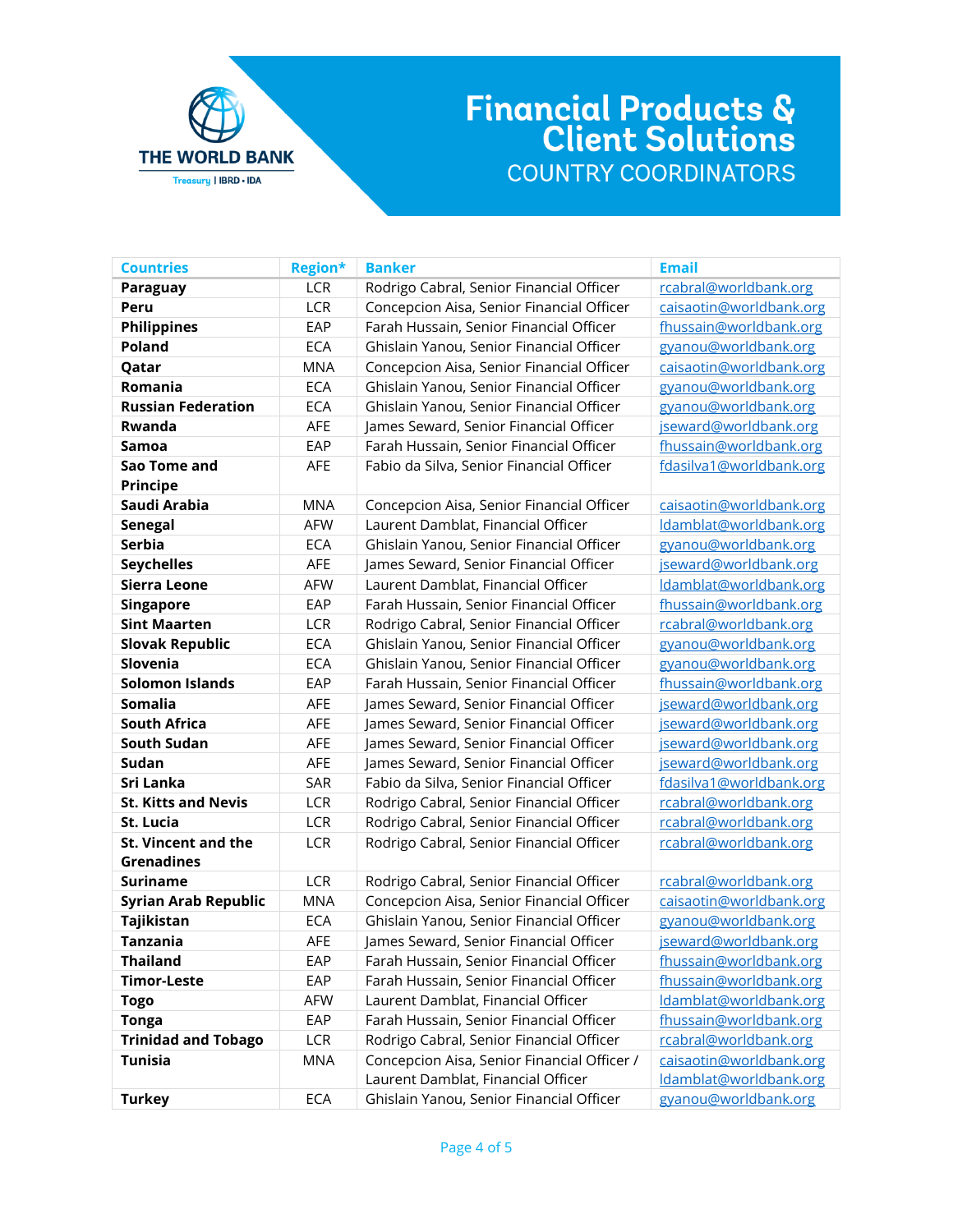

| <b>Countries</b>            | <b>Region*</b> | <b>Banker</b>                               | <b>Email</b>            |
|-----------------------------|----------------|---------------------------------------------|-------------------------|
| <b>Paraguay</b>             | LCR            | Rodrigo Cabral, Senior Financial Officer    | rcabral@worldbank.org   |
| Peru                        | LCR            | Concepcion Aisa, Senior Financial Officer   | caisaotin@worldbank.org |
| <b>Philippines</b>          | EAP            | Farah Hussain, Senior Financial Officer     | fhussain@worldbank.org  |
| <b>Poland</b>               | <b>ECA</b>     | Ghislain Yanou, Senior Financial Officer    | gyanou@worldbank.org    |
| Qatar                       | <b>MNA</b>     | Concepcion Aisa, Senior Financial Officer   | caisaotin@worldbank.org |
| Romania                     | <b>ECA</b>     | Ghislain Yanou, Senior Financial Officer    | gyanou@worldbank.org    |
| <b>Russian Federation</b>   | <b>ECA</b>     | Ghislain Yanou, Senior Financial Officer    | gyanou@worldbank.org    |
| <b>Rwanda</b>               | AFE            | James Seward, Senior Financial Officer      | jseward@worldbank.org   |
| Samoa                       | EAP            | Farah Hussain, Senior Financial Officer     | fhussain@worldbank.org  |
| Sao Tome and                | AFE            | Fabio da Silva, Senior Financial Officer    | fdasilva1@worldbank.org |
| <b>Principe</b>             |                |                                             |                         |
| Saudi Arabia                | <b>MNA</b>     | Concepcion Aisa, Senior Financial Officer   | caisaotin@worldbank.org |
| <b>Senegal</b>              | <b>AFW</b>     | Laurent Damblat, Financial Officer          | Idamblat@worldbank.org  |
| <b>Serbia</b>               | <b>ECA</b>     | Ghislain Yanou, Senior Financial Officer    | gyanou@worldbank.org    |
| <b>Seychelles</b>           | AFE            | James Seward, Senior Financial Officer      | jseward@worldbank.org   |
| <b>Sierra Leone</b>         | <b>AFW</b>     | Laurent Damblat, Financial Officer          | Idamblat@worldbank.org  |
| <b>Singapore</b>            | EAP            | Farah Hussain, Senior Financial Officer     | fhussain@worldbank.org  |
| <b>Sint Maarten</b>         | LCR            | Rodrigo Cabral, Senior Financial Officer    | rcabral@worldbank.org   |
| <b>Slovak Republic</b>      | <b>ECA</b>     | Ghislain Yanou, Senior Financial Officer    | gyanou@worldbank.org    |
| Slovenia                    | <b>ECA</b>     | Ghislain Yanou, Senior Financial Officer    | gyanou@worldbank.org    |
| <b>Solomon Islands</b>      | EAP            | Farah Hussain, Senior Financial Officer     | fhussain@worldbank.org  |
| Somalia                     | AFE            | James Seward, Senior Financial Officer      | jseward@worldbank.org   |
| <b>South Africa</b>         | AFE            | James Seward, Senior Financial Officer      | jseward@worldbank.org   |
| <b>South Sudan</b>          | AFE            | James Seward, Senior Financial Officer      | jseward@worldbank.org   |
| Sudan                       | AFE            | James Seward, Senior Financial Officer      | jseward@worldbank.org   |
| Sri Lanka                   | SAR            | Fabio da Silva, Senior Financial Officer    | fdasilva1@worldbank.org |
| <b>St. Kitts and Nevis</b>  | LCR            | Rodrigo Cabral, Senior Financial Officer    | rcabral@worldbank.org   |
| St. Lucia                   | LCR            | Rodrigo Cabral, Senior Financial Officer    | rcabral@worldbank.org   |
| <b>St. Vincent and the</b>  | LCR            | Rodrigo Cabral, Senior Financial Officer    | rcabral@worldbank.org   |
| <b>Grenadines</b>           |                |                                             |                         |
| <b>Suriname</b>             | LCR            | Rodrigo Cabral, Senior Financial Officer    | rcabral@worldbank.org   |
| <b>Syrian Arab Republic</b> | <b>MNA</b>     | Concepcion Aisa, Senior Financial Officer   | caisaotin@worldbank.org |
| Tajikistan                  | <b>ECA</b>     | Ghislain Yanou, Senior Financial Officer    | gyanou@worldbank.org    |
| <b>Tanzania</b>             | AFE            | James Seward, Senior Financial Officer      | jseward@worldbank.org   |
| <b>Thailand</b>             | EAP            | Farah Hussain, Senior Financial Officer     | fhussain@worldbank.org  |
| <b>Timor-Leste</b>          | EAP            | Farah Hussain, Senior Financial Officer     | fhussain@worldbank.org  |
| <b>Togo</b>                 | <b>AFW</b>     | Laurent Damblat, Financial Officer          | Idamblat@worldbank.org  |
| <b>Tonga</b>                | EAP            | Farah Hussain, Senior Financial Officer     | fhussain@worldbank.org  |
| <b>Trinidad and Tobago</b>  | LCR            | Rodrigo Cabral, Senior Financial Officer    | rcabral@worldbank.org   |
| <b>Tunisia</b>              | <b>MNA</b>     | Concepcion Aisa, Senior Financial Officer / | caisaotin@worldbank.org |
|                             |                | Laurent Damblat, Financial Officer          | Idamblat@worldbank.org  |
| <b>Turkey</b>               | <b>ECA</b>     | Ghislain Yanou, Senior Financial Officer    | gyanou@worldbank.org    |